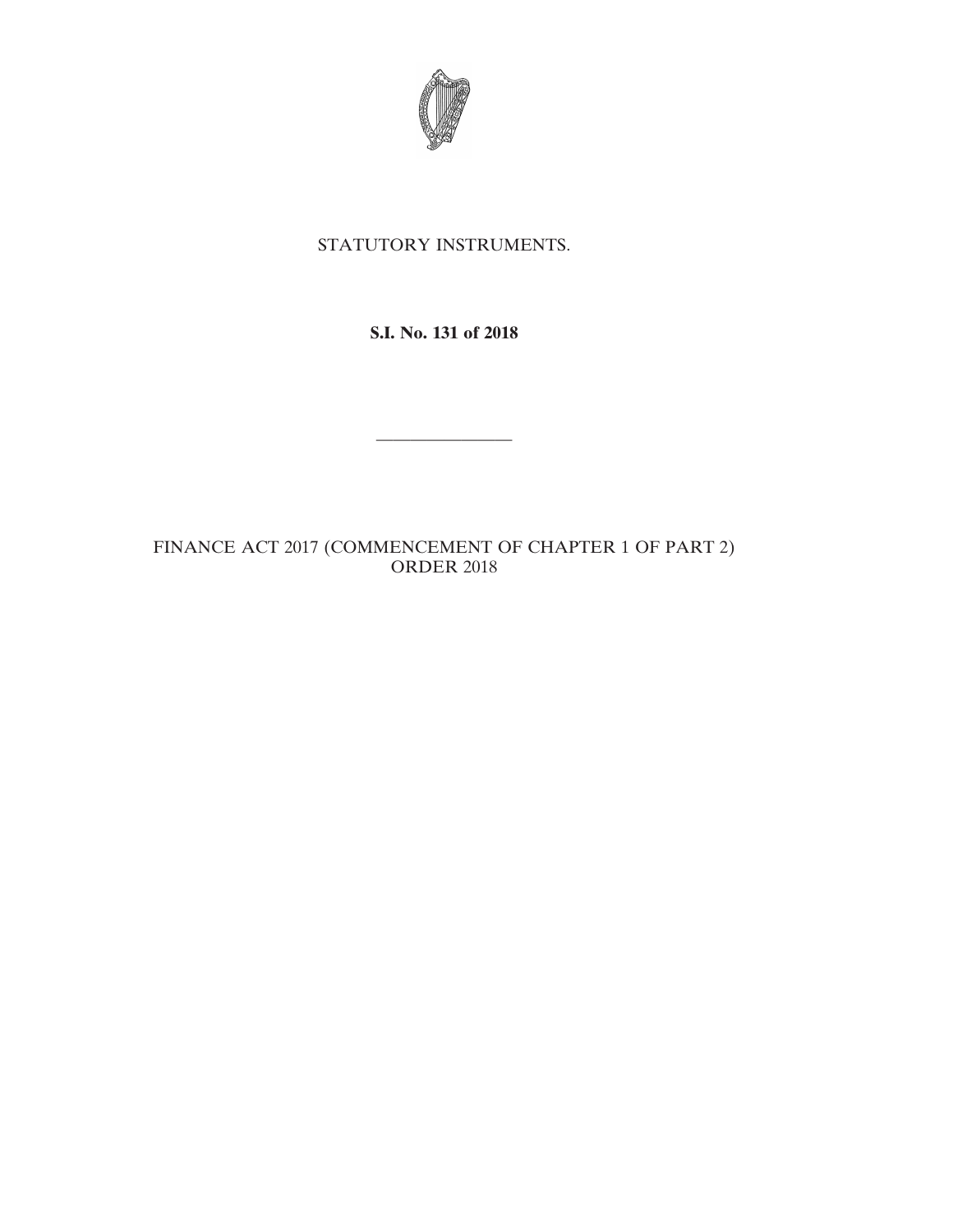

## STATUTORY INSTRUMENTS.

## **S.I. No. 131 of 2018**

————————

## FINANCE ACT 2017 (COMMENCEMENT OF CHAPTER 1 OF PART 2) ORDER 2018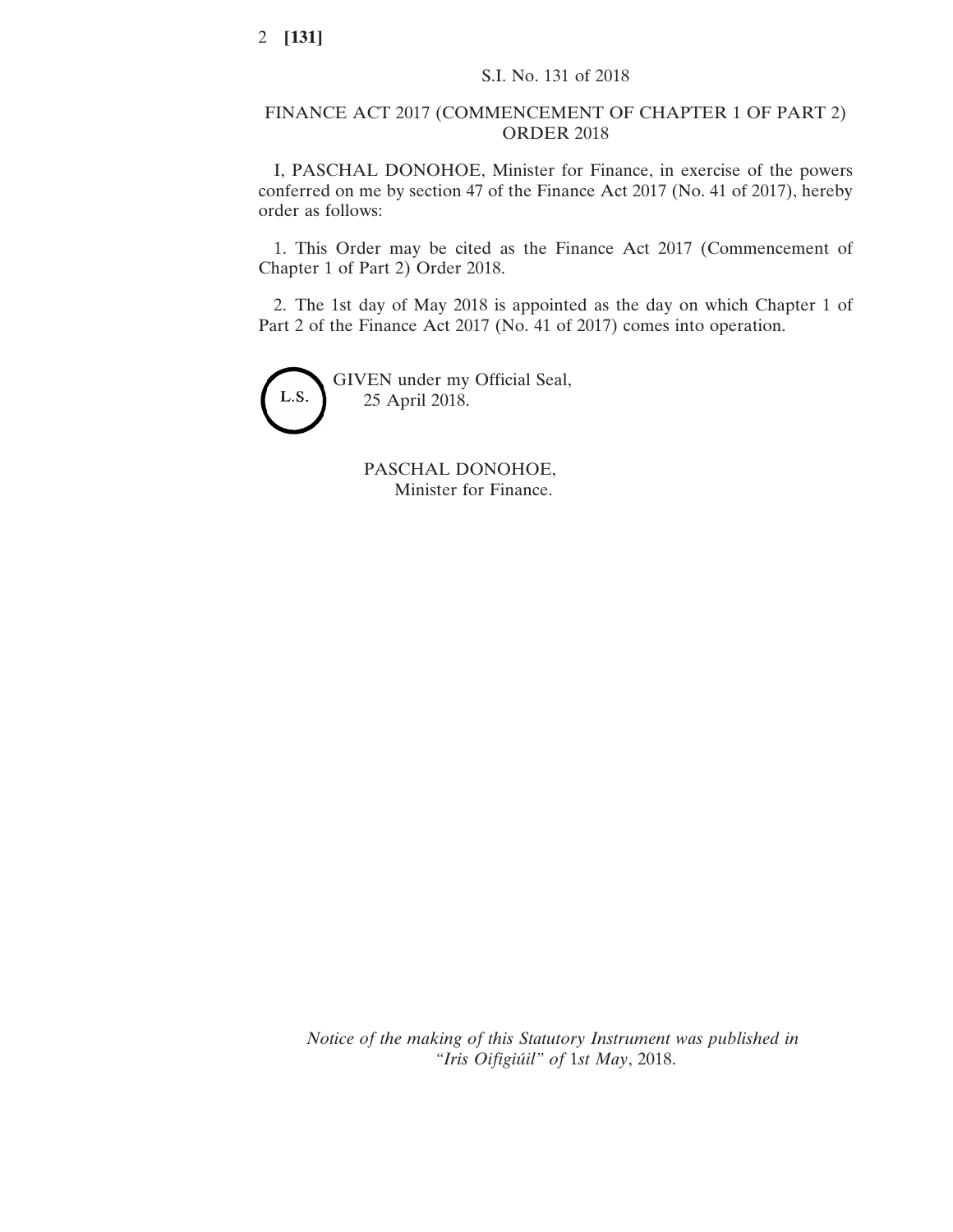## FINANCE ACT 2017 (COMMENCEMENT OF CHAPTER 1 OF PART 2) ORDER 2018

I, PASCHAL DONOHOE, Minister for Finance, in exercise of the powers conferred on me by section 47 of the Finance Act 2017 (No. 41 of 2017), hereby order as follows:

1. This Order may be cited as the Finance Act 2017 (Commencement of Chapter 1 of Part 2) Order 2018.

2. The 1st day of May 2018 is appointed as the day on which Chapter 1 of Part 2 of the Finance Act 2017 (No. 41 of 2017) comes into operation.



PASCHAL DONOHOE, Minister for Finance.

*Notice of the making of this Statutory Instrument was published in "Iris Oifigiúil" of* 1*st May*, 2018.